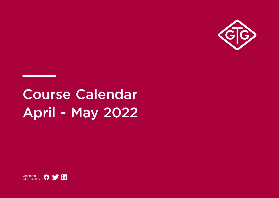

# Course Calendar April - May 2022

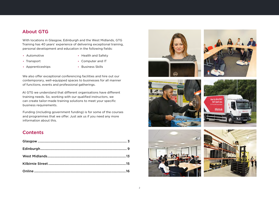#### About GTG

With locations in Glasgow, Edinburgh and the West Midlands, GTG Training has 40 years' experience of delivering exceptional training, personal development and education in the following fields:

**•** Automotive

**•** Health and Safety

**•** Transport

**•** Computer and IT

**•** Apprenticeships

**•** Business Skills

We also offer exceptional conferencing facilities and hire out our contemporary, well-equipped spaces to businesses for all manner of functions, events and professional gatherings.

At GTG we understand that different organisations have different training needs. So, working with our qualified instructors, we can create tailor-made training solutions to meet your specific business requirements.

Funding (including government funding) is for some of the courses and programmes that we offer. Just ask us if you need any more information about this.

#### **Contents**











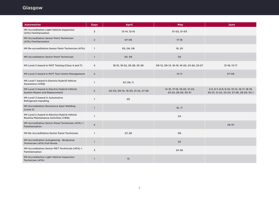<span id="page-2-0"></span>

| <b>Automotive</b>                                                                    | <b>Days</b>    | <b>April</b>                      | <b>May</b>                                         | June                                                                                 |
|--------------------------------------------------------------------------------------|----------------|-----------------------------------|----------------------------------------------------|--------------------------------------------------------------------------------------|
| IMI Accreditation Light Vehicle Inspection<br>(ATA) Familiarisation                  | 3              | 12-14, 12-15                      | 31-02, 31-03                                       |                                                                                      |
| <b>IMI Accreditation Senior Paint Technician</b><br>(ATA) Familiarisation            | $\overline{2}$ | $07 - 08$                         | $17 - 18$                                          |                                                                                      |
| IMI Re-accreditation Senior Paint Technician (ATA)                                   | $\mathbf{1}$   | 05, 06, 08                        | 19, 20                                             |                                                                                      |
| <b>IMI Accreditation Senior Paint Technician</b>                                     | $\mathbf{1}$   | 05,06                             | 20                                                 |                                                                                      |
| IMI Level 2 Award in MOT Testing (Class 4 and 7)                                     | 4              | 18-21, 18-22, 25-28, 25-29        | 09-12, 09-13, 16-19, 16-20, 23-26, 23-27           | 13-16, 13-17                                                                         |
| IMI Level 3 Award in MOT Test Centre Management                                      | $\overline{2}$ |                                   | $10 - 11$                                          | 07-08                                                                                |
| IMI Level 1 Award in Electric/Hybrid Vehicle<br>Awareness (VRQ)                      | $\mathbf{1}$   | 07, 08, 11                        |                                                    |                                                                                      |
| IMI Level 3 Award in Electric/Hybrid Vehicle<br><b>System Repair and Replacement</b> | $\overline{2}$ | 02-03, 09-10, 19-20, 21-22, 27-28 | 14-15, 17-18, 19-20, 21-22,<br>23-24, 28-29, 30-31 | 2-3, 6-7, 8-9, 9-10, 13-14, 16-17, 18-19,<br>20-21, 21-22, 23-24, 27-28, 28-29, 30-1 |
| <b>IMI Level 3 Award in Automotive</b><br><b>Refrigerant Handling</b>                | $\mathbf{1}$   | 05                                |                                                    |                                                                                      |
| IMI Accreditation Resistance Spot Welding<br>(Level 2)                               | $\mathbf{1}$   |                                   | 16, 17                                             |                                                                                      |
| IMI Level 2 Award in Electric/Hybrid Vehicle<br>Routine Maintenance Activities (VRQ) | $\mathbf{1}$   |                                   | 24                                                 |                                                                                      |
| IMI Accreditation Senior Panel Technician (ATA) +<br>Familiarisation                 | $\overline{4}$ |                                   |                                                    | $28 - 01$                                                                            |
| IMI Re-Accreditation Senior Panel Technician                                         | $\mathbf{1}$   | 27, 28                            | 06                                                 |                                                                                      |
| IMI Accreditation Autoglazing - Bodyshop<br>Technician (ATA) Full Route              | $\mathbf{1}$   |                                   | 20                                                 |                                                                                      |
| IMI Accreditation Senior MET Technician (ATA) +<br>Familiarisation                   | $\overline{3}$ |                                   | $24 - 26$                                          |                                                                                      |
| IMI Accreditation Light Vehicle Inspection<br><b>Technician (ATA)</b>                | $\mathbf{1}$   | 15                                |                                                    |                                                                                      |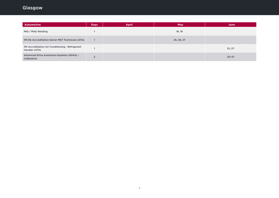| <b>Automotive</b>                                                 | <b>Days</b>     | <b>April</b> | May        | June      |
|-------------------------------------------------------------------|-----------------|--------------|------------|-----------|
| MIG / MAG Welding                                                 |                 |              | 18, 19     |           |
| IMI Re-Accreditation Senior MET Technician (ATA)                  |                 |              | 25, 26, 27 |           |
| IMI Accreditation Air Conditioning - Refrigerant<br>Handler (ATA) |                 |              |            | 01, 27    |
| Advanced Drive Assistance Systems (ADAS) -<br>Calibration         | $\sqrt{2}$<br>∠ |              |            | $30 - 01$ |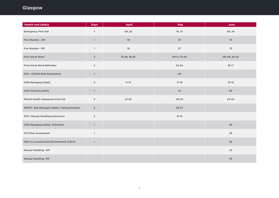| <b>Health and Safety</b>                           | <b>Days</b>    | <b>April</b> | May          | June         |
|----------------------------------------------------|----------------|--------------|--------------|--------------|
| <b>Emergency First Aid</b>                         | $\mathbf{1}$   | 08, 25       | 16, 31       | 06, 24       |
| Fire Warden - AM                                   | $\mathbf{1}$   | 18           | 27           | 13           |
| Fire Warden - PM                                   | $\mathbf{1}$   | 18           | 27           | 13           |
| First Aid at Work                                  | $\overline{3}$ | 15-29, 18-20 | 09-11, 23-25 | 06-08, 20-22 |
| First Aid at Work Refresher                        | $\overline{2}$ |              | $23 - 24$    | $16 - 17$    |
| GTG - COSHH Risk Assessment                        | $\mathbf{1}$   |              | 26           |              |
| <b>IOSH Managing Safely</b>                        | $\mathbf 3$    | $11 - 13$    | $17 - 19$    | $13 - 15$    |
| IOSH Working Safely                                | $\mathbf{1}$   |              | 13           | 30           |
| Mental Health Awareness First Aid                  | $\overline{2}$ | $21 - 22$    | 09-10        | $23 - 24$    |
| <b>SMSTS- Site Managers Safety Training Scheme</b> | 5              |              | $23 - 27$    |              |
| GTG- Manual Handling Instructors                   | $\overline{2}$ |              | $12 - 13$    |              |
| IOSH Managing Safely-Refresher                     | $\mathbf{1}$   |              |              | 30           |
| <b>GTG Risk Assessment</b>                         | $\mathbf{1}$   |              |              | 29           |
| H&S in a Construction Environment (CSCS)           | $\mathbf{1}$   |              |              | $20\,$       |
| Manual Handling- AM                                |                |              |              | 23           |
| Manual Handling-PM                                 |                |              |              | 23           |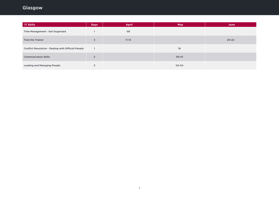| <b>IT Skills</b>                                    | <b>Days</b>    | <b>April</b> | <b>May</b> | June      |
|-----------------------------------------------------|----------------|--------------|------------|-----------|
| Time Management - Get Organised                     |                | 08           |            |           |
| <b>Train the Trainer</b>                            | $\overline{3}$ | $11 - 13$    |            | $20 - 22$ |
| Conflict Resolution - Dealing with Difficult People |                |              | 16         |           |
| <b>Communication Skills</b>                         | $\overline{2}$ |              | 09-10      |           |
| <b>Leading and Managing People</b>                  | 3              |              | $02 - 04$  |           |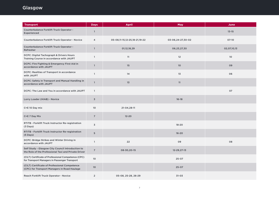| <b>Transport</b>                                                                                          | <b>Days</b>     | <b>April</b>                  | <b>May</b>        | June            |
|-----------------------------------------------------------------------------------------------------------|-----------------|-------------------------------|-------------------|-----------------|
| Counterbalance Forklift Truck Operator -<br>Experienced                                                   | $\mathbf{1}$    |                               |                   | $13 - 15$       |
| Counterbalance Forklift Truck Operator - Novice                                                           | $\overline{4}$  | 05-08,11-15,12-25,18-21,19-22 | 03-06,24-27,30-02 | $07-10$         |
| Counterbalance Forklift Truck Operator -<br>Refresher                                                     | $\mathbf{1}$    | 01,12,18,29                   | 06,23,27,30       | 02,07,10,13     |
| DCPC: Digital Tachograph & Drivers Hours<br>Training Course in accordance with JAUPT                      | $\mathbf{1}$    | 11                            | 12                | 10 <sup>°</sup> |
| DCPC: Fire Fighting & Emergency First Aid in<br>accordance with JAUPT                                     | $\mathbf{1}$    | 15                            | 10                | 09              |
| DCPC: Realities of Transport in accordance<br>with JAUPT                                                  | $\mathbf{1}$    | 14                            | 13                | 06              |
| DCPC: Safety in Transport and Manual Handling in<br>accordance with JAUPT                                 | $\mathbf{1}$    | 13                            | 11                |                 |
| DCPC: The Law and You in accordance with JAUPT                                                            | $\mathbf{1}$    |                               |                   | 07              |
| Lorry Loader (HIAB) - Novice                                                                              | $\overline{3}$  |                               | $16 - 18$         |                 |
| C+E 10 Day mix                                                                                            | 10              | 21-04,28-11                   |                   |                 |
| C+E 7 Day Mix                                                                                             | $7\overline{ }$ | $12 - 20$                     |                   |                 |
| RTITB - Forklift Truck Instructor Re-registration<br>(3 Days)                                             | $\overline{3}$  |                               | $18 - 20$         |                 |
| RTITB - Forklift Truck Instructor Re-registration<br>$(5$ Days)                                           | 5               |                               | $16 - 20$         |                 |
| DCPC: Bridge Strikes and Winter Driving in<br>accordance with JAUPT                                       | $\mathbf{1}$    | 22                            | 09                | 08              |
| Self Study - Glasgow City Council Introduction to<br>the Role of the Professional Taxi and Private Driver | $\overline{7}$  | 08-30,20-15                   | 12-29, 27-13      |                 |
| (CILT) Certificate of Professional Competence (CPC)<br>for Transport Managers in Passenger Transport      | 10              |                               | $25 - 07$         |                 |
| (CILT) Certificate of Professional Competence<br>(CPC) for Transport Managers in Road Haulage             | 10              |                               | $25 - 07$         |                 |
| Reach Forklift Truck Operator - Novice                                                                    | $\overline{2}$  | 05-08, 25-28, 26-29           | $31 - 03$         |                 |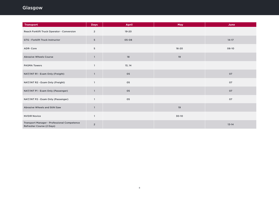| <b>Transport</b>                                                         | <b>Days</b>    | <b>April</b> | <b>May</b> | June      |
|--------------------------------------------------------------------------|----------------|--------------|------------|-----------|
| Reach Forklift Truck Operator - Conversion                               | $\overline{2}$ | $19 - 20$    |            |           |
| GTG - Forklift Truck Instructor                                          | 5              | 05-08        |            | $14 - 17$ |
| ADR-Core                                                                 | 5              |              | $16 - 20$  | 06-10     |
| <b>Abrasive Wheels Course</b>                                            | $\mathbf{1}$   | 18           | 19         |           |
| <b>PASMA Towers</b>                                                      | $\mathbf{1}$   | 13, 14       |            |           |
| NAT/INT R1 - Exam Only (Freight)                                         | $\mathbf{1}$   | 05           |            | 07        |
| NAT/INT R2 - Exam Only (Freight)                                         | $\mathbf{1}$   | 05           |            | 07        |
| NAT/INT P1 - Exam Only (Passenger)                                       | $\mathbf{1}$   | 05           |            | 07        |
| NAT/INT P2 - Exam Only (Passenger)                                       | $\mathbf{1}$   | 05           |            | 07        |
| Abrasive Wheels and Stihl Saw                                            | $\mathbf{1}$   |              | 19         |           |
| <b>NVDIR Novice</b>                                                      | $\mathbf{1}$   |              | $30-10$    |           |
| Transport Manager - Professional Competence<br>Refresher Course (2 Days) | $\overline{2}$ |              |            | $13 - 14$ |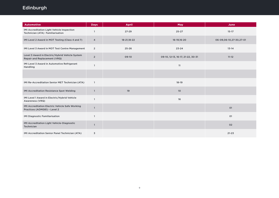<span id="page-8-0"></span>

| Automotive                                                                      | <b>Days</b>    | <b>April</b> | <b>May</b>                        | June                    |
|---------------------------------------------------------------------------------|----------------|--------------|-----------------------------------|-------------------------|
| IMI Accreditation Light Vehicle Inspection<br>Technician (ATA) Familiarisation  |                | $27 - 29$    | $25 - 27$                         | $15 - 17$               |
| IMI Level 2 Award in MOT Testing (Class 4 and 7)                                | 4              | 18-21,18-22  | 16-19,16-20                       | 06-09,06-10,27-30,27-01 |
| IMI Level 3 Award in MOT Test Centre Management                                 | $\overline{2}$ | $25 - 26$    | $23 - 24$                         | $13 - 14$               |
| Level 3 Award in Electric/Hybrid Vehicle System<br>Repair and Replacement (VRQ) | $\overline{2}$ | $09-10$      | 09-10, 12-13, 16-17, 21-22, 30-31 | $11 - 12$               |
| IMI Level 3 Award in Automotive Refrigerant<br>Handling                         | 1              |              | 11                                |                         |
|                                                                                 |                |              |                                   |                         |
| IMI Re-Accreditation Senior MET Technician (ATA)                                | $\mathbf{1}$   |              | $18 - 19$                         |                         |
| IMI Accreditation Resistance Spot Welding                                       | $\mathbf{1}$   | 19           | 10 <sup>°</sup>                   |                         |
| IMI Level 1 Award in Electric/Hybrid Vehicle<br>Awareness (VRQ)                 | $\mathbf{1}$   |              | 16                                |                         |
| IMI Accreditation Electric Vehicle Safe Working<br>Practices (AOM081) - Level 2 | $\mathbf{1}$   |              |                                   | 01                      |
| <b>IMI Diagnostic Familiarisation</b>                                           | $\mathbf{1}$   |              |                                   | 01                      |
| IMI Accreditation Light Vehicle-Diagnostic<br>Technician                        | 1              |              |                                   | 02                      |
| IMI Accreditation Senior Panel Technician (ATA)                                 | 3              |              |                                   | $21 - 23$               |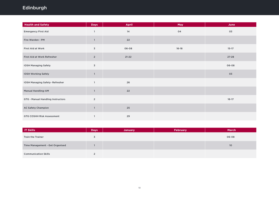| <b>Health and Safety</b>          | <b>Days</b>    | April      | May       | June      |
|-----------------------------------|----------------|------------|-----------|-----------|
| <b>Emergency First Aid</b>        | $\overline{1}$ | 14         | 04        | 03        |
| Fire Warden - PM                  | $\mathbf{1}$   | 22         |           |           |
| First Aid at Work                 | $\mathbf 3$    | 06-08      | $16 - 18$ | $15 - 17$ |
| First Aid at Work Refresher       | $\mathbf 2$    | $21 - 22$  |           | $27 - 28$ |
| <b>IOSH Managing Safely</b>       | $\mathbf 3$    |            |           | 06-08     |
| IOSH Working Safely               | $\mathbf{1}$   |            |           | 03        |
| IOSH Managing Safely-Refresher    | $\mathbf{1}$   | 26         |           |           |
| <b>Manual Handling-AM</b>         | $\mathbf{1}$   | ${\bf 22}$ |           |           |
| GTG - Manual Handling Instructors | $\overline{2}$ |            |           | $16 - 17$ |
| <b>AC Safety Champion</b>         | $\mathbf{1}$   | $25\,$     |           |           |
| <b>GTG COSHH Risk Assessment</b>  | $\mathbf{1}$   | 29         |           |           |

| <b>IT Skills</b>                | <b>Days</b> | <b>January</b> | February | <b>March</b> |
|---------------------------------|-------------|----------------|----------|--------------|
| <b>Train the Trainer</b>        |             |                |          | 06-08        |
| Time Management - Get Organised |             |                |          | 10           |
| <b>Communication Skills</b>     |             |                |          |              |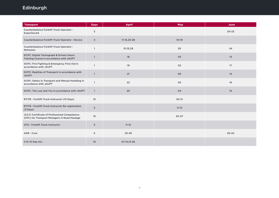| <b>Transport</b>                                                                              | <b>Days</b>             | <b>April</b>   | May       | June      |
|-----------------------------------------------------------------------------------------------|-------------------------|----------------|-----------|-----------|
| Counterbalance Forklift Truck Operator -<br>Experienced                                       | 3                       |                |           | $20 - 22$ |
| Counterbalance Forklift Truck Operator - Novice                                               | 4                       | $11-14, 25-28$ | $16-19$   |           |
| Counterbalance Forklift Truck Operator -<br>Refresher                                         | $\mathbf{1}$            | 01,15,29       | 20        | 24        |
| DCPC: Digital Tachograph & Drivers Hours<br>Training Course in accordance with JAUPT          | $\mathbf{1}$            | 18             | 03        | 13        |
| DCPC: Fire Fighting & Emergency First Aid in<br>accordance with JAUPT                         | $\mathbf{1}$            | 19             | 02        | 17        |
| DCPC: Realities of Transport in accordance with<br><b>JAUPT</b>                               | $\mathbf{1}$            | 21             | 06        | 14        |
| DCPC: Safety in Transport and Manual Handling in<br>accordance with JAUPT                     | $\mathbf{1}$            | 22             | 05        | 16        |
| DCPC: The Law and You in accordance with JAUPT                                                | $\mathbf{1}$            | 20             | 04        | 15        |
| RTITB - Forklift Truck Instructor (10 Days)                                                   | 10                      |                | $02-13$   |           |
| RTITB - Forklift Truck Instructor Re-registration<br>(3 Days)                                 | $\overline{\mathsf{3}}$ |                | $11 - 13$ |           |
| (CILT) Certificate of Professional Competence<br>(CPC) for Transport Managers in Road Haulage | 10                      |                | $25 - 07$ |           |
| GTG - Forklift Truck Instructor                                                               | 5                       | $11 - 15$      |           |           |
| ADR - Core                                                                                    | 5                       | $25 - 29$      |           | $20 - 24$ |
| C+E 10 Day mix                                                                                | 10                      | $01-14, 13-26$ |           |           |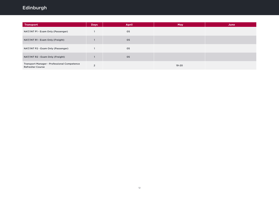| <b>Transport</b>                                                              | <b>Days</b> | <b>April</b> | <b>May</b> | June |
|-------------------------------------------------------------------------------|-------------|--------------|------------|------|
| NAT/INT P1 - Exam Only (Passenger)                                            |             | 05           |            |      |
| NAT/INT R1 - Exam Only (Freight)                                              |             | 05           |            |      |
| NAT/INT P2 - Exam Only (Passenger)                                            |             | 05           |            |      |
| NAT/INT R2 - Exam Only (Freight)                                              |             | 05           |            |      |
| <b>Transport Manager - Professional Competence</b><br><b>Refresher Course</b> | $\sim$      |              | $19 - 20$  |      |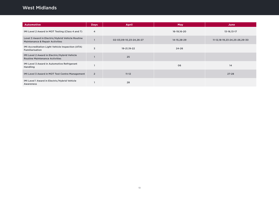# <span id="page-12-0"></span>West Midlands

| <b>Automotive</b>                                                                              | <b>Days</b>    | April                   | <b>May</b>  | June                              |
|------------------------------------------------------------------------------------------------|----------------|-------------------------|-------------|-----------------------------------|
| IMI Level 2 Award in MOT Testing (Class 4 and 7)                                               | $\overline{4}$ |                         | 16-19,16-20 | 13-16, 13-17                      |
| Level 3 Award in Electric/Hybrid Vehicle Routine<br><b>Maintenance &amp; Repair Activities</b> |                | 02-03,09-10,23-24,26-27 | 14-15,28-29 | 11-12, 18-19, 23-24, 25-26, 29-30 |
| IMI Accreditation Light Vehicle Inspection (ATA)<br>Familiarisation                            | 3              | 19-21,19-22             | $24 - 26$   |                                   |
| IMI Level 2 Award in Electric/Hybrid Vehicle<br><b>Routine Maintenance Activities</b>          |                | 25                      |             |                                   |
| IMI Level 3 Award in Automotive Refrigerant<br>Handling                                        |                |                         | 06          | 14                                |
| IMI Level 3 Award in MOT Test Centre Management                                                | $\overline{2}$ | $11 - 12$               |             | $27 - 28$                         |
| IMI Level 1 Award in Electric/Hybrid Vehicle<br>Awareness                                      |                | 28                      |             |                                   |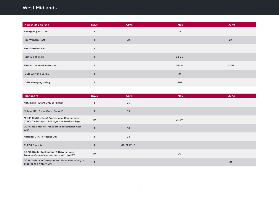#### West Midlands

| <b>Health and Safety</b>    | <b>Days</b>             | <b>April</b> | <b>May</b> | June      |
|-----------------------------|-------------------------|--------------|------------|-----------|
| <b>Emergency First Aid</b>  |                         |              | 05         |           |
| Fire Warden - AM            |                         | 28           |            | 24        |
| Fire Warden - PM            |                         |              |            | 20        |
| <b>First Aid at Work</b>    | $\overline{\mathbf{3}}$ |              | $23 - 25$  |           |
| First Aid at Work Refresher | $\overline{2}$          |              | 09-10      | $20 - 21$ |
| <b>IOSH Working Safely</b>  |                         |              | 19         |           |
| <b>IOSH Managing Safely</b> | 3                       |              | $16 - 18$  |           |

| <b>Transport</b>                                                                              | <b>Days</b> | <b>April</b> | <b>May</b> | June |
|-----------------------------------------------------------------------------------------------|-------------|--------------|------------|------|
| Nat/Int R1 - Exam Only (Freight)                                                              |             | 05           |            |      |
| Nat/Int R2 - Exam Only (Freight)                                                              |             | 05           |            |      |
| (CILT) Certificate of Professional Competence<br>(CPC) for Transport Managers in Road Haulage | 10          |              | $25 - 07$  |      |
| DCPC: Realities of Transport in accordance with<br><b>JAUPT</b>                               |             | 06           |            |      |
| <b>National CPC Refresher Day</b>                                                             |             | 04           |            |      |
| C+E 10 Day mix                                                                                |             | 08-21,27-10  |            |      |
| DCPC: Digital Tachograph & Drivers Hours<br>Training Course in accordance with JAUPT          | 10          |              | 20         |      |
| DCPC: Safety in Transport and Manual Handling in<br>accordance with JAUPT                     |             |              |            | 01   |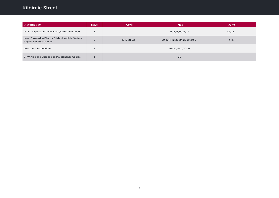# <span id="page-14-0"></span>Kilbirnie Street

| <b>Automotive</b>                                                                | <b>Days</b> | <b>April</b> | <b>May</b>                    | June      |
|----------------------------------------------------------------------------------|-------------|--------------|-------------------------------|-----------|
| IRTEC Inspection Technician (Assesment only)                                     |             |              | 11, 12, 18, 19, 25, 27        | 01,02     |
| Level 3 Award in Electric/Hybrid Vehicle System<br><b>Repair and Replacement</b> | $\sim$      | 12-13, 21-22 | 09-10,11-12,23-24,26-27,30-31 | $14 - 15$ |
| <b>LGV DVSA Inspections</b>                                                      |             |              | 09-10,16-17,30-31             |           |
| <b>BPW Axle and Suspension Maintenance Course</b>                                |             |              | 25                            |           |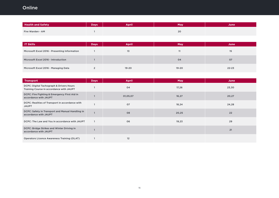# <span id="page-15-0"></span>**Online**

| <b>Health and Safety</b> | <b>Days</b> | April | May | June. |
|--------------------------|-------------|-------|-----|-------|
| Fire Warden - AM         |             |       | 20  |       |

| <b>IT Skills</b>                              | <b>Days</b> | <b>April</b> | May       | June      |
|-----------------------------------------------|-------------|--------------|-----------|-----------|
| Microsoft Excel 2016 - Presenting Information |             | 13           | 11        | 15        |
| Microsoft Excel 2016 - Introduction           |             |              | 04        | 07        |
| Microsoft Excel 2016 - Managing Data          |             | $19 - 20$    | $19 - 20$ | $22 - 23$ |

| <b>Transport</b>                                                                     | <b>Days</b> | <b>April</b> | <b>May</b> | June  |
|--------------------------------------------------------------------------------------|-------------|--------------|------------|-------|
| DCPC: Digital Tachograph & Drivers Hours<br>Training Course in accordance with JAUPT |             | 04           | 17,26      | 23,30 |
| DCPC: Fire Fighting & Emergency First Aid in<br>accordance with JAUPT                |             | 01,05,07     | 16,27      | 20,27 |
| DCPC: Realities of Transport in accordance with<br><b>JAUPT</b>                      |             | 07           | 18,24      | 24,28 |
| DCPC: Safety in Transport and Manual Handling in<br>accordance with JAUPT            |             | 08           | 20,25      | 22    |
| DCPC: The Law and You in accordance with JAUPT                                       |             | 06           | 19,23      | 29    |
| DCPC: Bridge Strikes and Winter Driving in<br>accordance with JAUPT                  |             |              |            | 21    |
| <b>Operators Licence Awareness Training (OLAT)</b>                                   |             | 12           |            |       |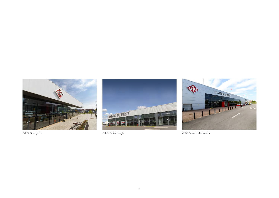





GTG Glasgow GTG Edinburgh GTG Edinburgh GTG Mest Midlands